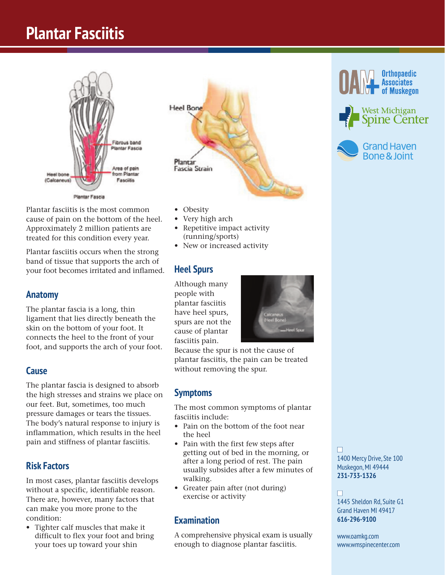## **Plantar Fasciitis Plantar Fasciitis**



Plantar fasciitis is the most common cause of pain on the bottom of the heel. Approximately 2 million patients are treated for this condition every year.

Plantar fasciitis occurs when the strong band of tissue that supports the arch of your foot becomes irritated and inflamed.

**Anatomy**  The plantar fascia is a long, thin ligament that lies directly beneath the skin on the bottom of your foot. It connects the heel to the front of your foot, and supports the arch of your foot.

### **Cause**

**The plantar fascia is designed to absorb** the high stresses and strains we place on our feet. But, sometimes, too much pressure damages or tears the tissues. The body's natural response to injury is inflammation, which results in the heel pain and stiffness of plantar fasciitis.

### **Risk Factors**

**Risk Factors**  In most cases, plantar fasciitis develops without a specific, identifiable reason. There are, however, many factors that can make you more prone to the condition:

• Tighter calf muscles that make it difficult to flex your foot and bring your toes up toward your shin



- Obesity
- Very high arch
- Repetitive impact activity (running/sports)
- New or increased activity

**Although many** people with plantar fasciitis have heel spurs, spurs are not the cause of plantar fasciitis pain.

Because the spur is not the cause of plantar fasciitis, the pain can be treated without removing the spur.

**Symptoms**  The most common symptoms of plantar fasciitis include:

- Pain on the bottom of the foot near the heel
- Pain with the first few steps after getting out of bed in the morning, or after a long period of rest. The pain usually subsides after a few minutes of walking.
- Greater pain after (not during) exercise or activity

### **Examination**

**Examination**  A comprehensive physical exam is usually enough to diagnose plantar fasciitis.







n 1400 Mercy Drive, Ste 100 Muskegon, MI 49444 **231-733-1326**

### n

1445 Sheldon Rd, Suite G1 Grand Haven MI 49417 **616-296-9100**

www.oamkg.com www.wmspinecenter.com